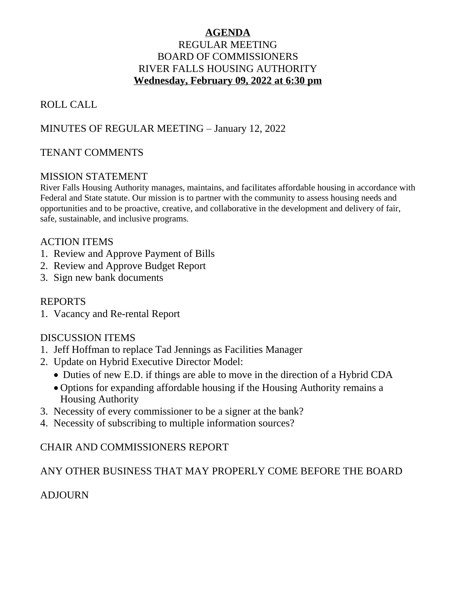## **AGENDA** REGULAR MEETING BOARD OF COMMISSIONERS RIVER FALLS HOUSING AUTHORITY **Wednesday, February 09, 2022 at 6:30 pm**

# ROLL CALL

## MINUTES OF REGULAR MEETING – January 12, 2022

## TENANT COMMENTS

### MISSION STATEMENT

River Falls Housing Authority manages, maintains, and facilitates affordable housing in accordance with Federal and State statute. Our mission is to partner with the community to assess housing needs and opportunities and to be proactive, creative, and collaborative in the development and delivery of fair, safe, sustainable, and inclusive programs.

### ACTION ITEMS

- 1. Review and Approve Payment of Bills
- 2. Review and Approve Budget Report
- 3. Sign new bank documents

### REPORTS

1. Vacancy and Re-rental Report

## DISCUSSION ITEMS

- 1. Jeff Hoffman to replace Tad Jennings as Facilities Manager
- 2. Update on Hybrid Executive Director Model:
	- Duties of new E.D. if things are able to move in the direction of a Hybrid CDA
	- Options for expanding affordable housing if the Housing Authority remains a Housing Authority
- 3. Necessity of every commissioner to be a signer at the bank?
- 4. Necessity of subscribing to multiple information sources?

## CHAIR AND COMMISSIONERS REPORT

## ANY OTHER BUSINESS THAT MAY PROPERLY COME BEFORE THE BOARD

## **ADJOURN**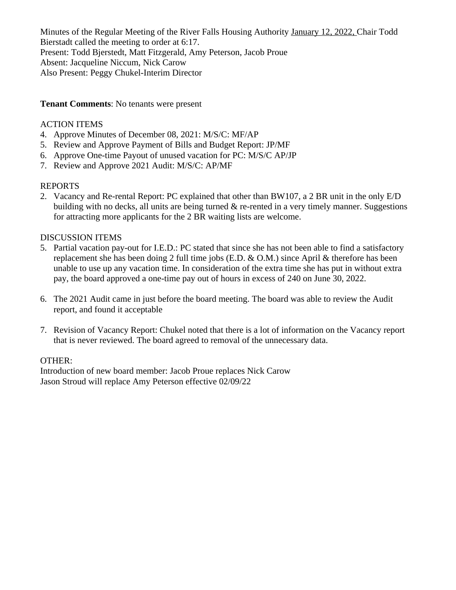Minutes of the Regular Meeting of the River Falls Housing Authority January 12, 2022, Chair Todd Bierstadt called the meeting to order at 6:17. Present: Todd Bjerstedt, Matt Fitzgerald, Amy Peterson, Jacob Proue Absent: Jacqueline Niccum, Nick Carow Also Present: Peggy Chukel-Interim Director

### **Tenant Comments**: No tenants were present

### ACTION ITEMS

- 4. Approve Minutes of December 08, 2021: M/S/C: MF/AP
- 5. Review and Approve Payment of Bills and Budget Report: JP/MF
- 6. Approve One-time Payout of unused vacation for PC: M/S/C AP/JP
- 7. Review and Approve 2021 Audit: M/S/C: AP/MF

### REPORTS

2. Vacancy and Re-rental Report: PC explained that other than BW107, a 2 BR unit in the only E/D building with no decks, all units are being turned  $\&$  re-rented in a very timely manner. Suggestions for attracting more applicants for the 2 BR waiting lists are welcome.

### DISCUSSION ITEMS

- 5. Partial vacation pay-out for I.E.D.: PC stated that since she has not been able to find a satisfactory replacement she has been doing 2 full time jobs (E.D. & O.M.) since April & therefore has been unable to use up any vacation time. In consideration of the extra time she has put in without extra pay, the board approved a one-time pay out of hours in excess of 240 on June 30, 2022.
- 6. The 2021 Audit came in just before the board meeting. The board was able to review the Audit report, and found it acceptable
- 7. Revision of Vacancy Report: Chukel noted that there is a lot of information on the Vacancy report that is never reviewed. The board agreed to removal of the unnecessary data.

### OTHER:

Introduction of new board member: Jacob Proue replaces Nick Carow Jason Stroud will replace Amy Peterson effective 02/09/22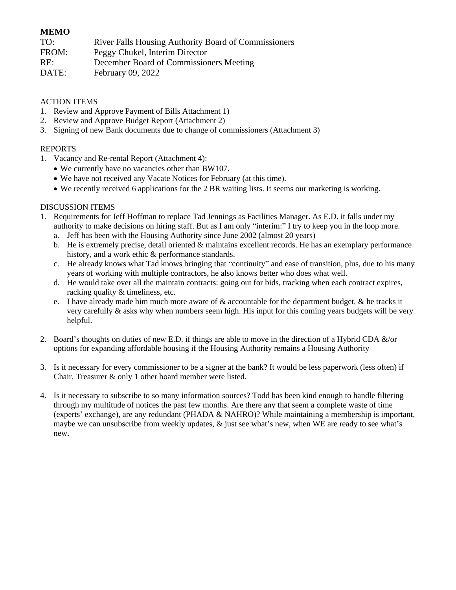#### **MEMO**

FROM: Peggy Chukel, Interim Director

RE: December Board of Commissioners Meeting

DATE: February 09, 2022

#### ACTION ITEMS

- 1. Review and Approve Payment of Bills Attachment 1)
- 2. Review and Approve Budget Report (Attachment 2)
- 3. Signing of new Bank documents due to change of commissioners (Attachment 3)

#### REPORTS

- 1. Vacancy and Re-rental Report (Attachment 4):
	- We currently have no vacancies other than BW107.
	- We have not received any Vacate Notices for February (at this time).
	- We recently received 6 applications for the 2 BR waiting lists. It seems our marketing is working.

#### DISCUSSION ITEMS

- 1. Requirements for Jeff Hoffman to replace Tad Jennings as Facilities Manager. As E.D. it falls under my authority to make decisions on hiring staff. But as I am only "interim:" I try to keep you in the loop more.
	- a. Jeff has been with the Housing Authority since June 2002 (almost 20 years)
	- b. He is extremely precise, detail oriented  $\&$  maintains excellent records. He has an exemplary performance history, and a work ethic & performance standards.
	- c. He already knows what Tad knows bringing that "continuity" and ease of transition, plus, due to his many years of working with multiple contractors, he also knows better who does what well.
	- d. He would take over all the maintain contracts: going out for bids, tracking when each contract expires, racking quality & timeliness, etc.
	- e. I have already made him much more aware of  $\&$  accountable for the department budget,  $\&$  he tracks it very carefully & asks why when numbers seem high. His input for this coming years budgets will be very helpful.
- 2. Board's thoughts on duties of new E.D. if things are able to move in the direction of a Hybrid CDA &/or options for expanding affordable housing if the Housing Authority remains a Housing Authority
- 3. Is it necessary for every commissioner to be a signer at the bank? It would be less paperwork (less often) if Chair, Treasurer & only 1 other board member were listed.
- 4. Is it necessary to subscribe to so many information sources? Todd has been kind enough to handle filtering through my multitude of notices the past few months. Are there any that seem a complete waste of time (experts' exchange), are any redundant (PHADA & NAHRO)? While maintaining a membership is important, maybe we can unsubscribe from weekly updates, & just see what's new, when WE are ready to see what's new.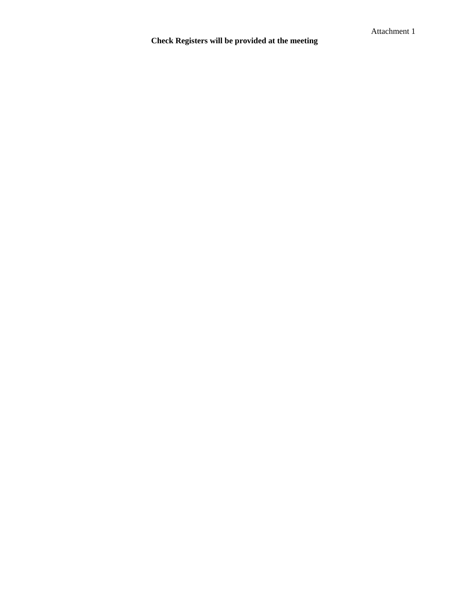# **Check Registers will be provided at the meeting**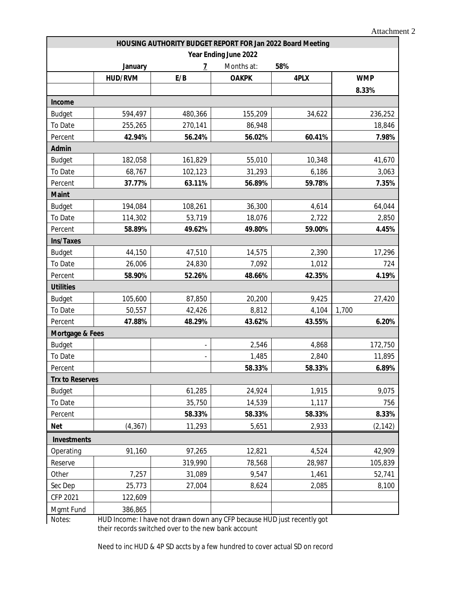| HOUSING AUTHORITY BUDGET REPORT FOR Jan 2022 Board Meeting |                |                |              |        |            |  |  |  |  |  |
|------------------------------------------------------------|----------------|----------------|--------------|--------|------------|--|--|--|--|--|
| Year Ending June 2022                                      |                |                |              |        |            |  |  |  |  |  |
|                                                            | January        | $\overline{1}$ | Months at:   | 58%    |            |  |  |  |  |  |
|                                                            | <b>HUD/RVM</b> | E/B            | <b>OAKPK</b> | 4PLX   | <b>WMP</b> |  |  |  |  |  |
|                                                            |                |                |              |        | 8.33%      |  |  |  |  |  |
| Income                                                     |                |                |              |        |            |  |  |  |  |  |
| <b>Budget</b>                                              | 594,497        | 480,366        | 155,209      | 34,622 | 236,252    |  |  |  |  |  |
| To Date                                                    | 255,265        | 270,141        | 86,948       |        | 18,846     |  |  |  |  |  |
| Percent                                                    | 42.94%         | 56.24%         | 56.02%       | 60.41% | 7.98%      |  |  |  |  |  |
| Admin                                                      |                |                |              |        |            |  |  |  |  |  |
| <b>Budget</b>                                              | 182,058        | 161,829        | 55,010       | 10,348 | 41,670     |  |  |  |  |  |
| To Date                                                    | 68,767         | 102,123        | 31,293       | 6,186  | 3,063      |  |  |  |  |  |
| Percent                                                    | 37.77%         | 63.11%         | 56.89%       | 59.78% | 7.35%      |  |  |  |  |  |
| <b>Maint</b>                                               |                |                |              |        |            |  |  |  |  |  |
| <b>Budget</b>                                              | 194,084        | 108,261        | 36,300       | 4,614  | 64,044     |  |  |  |  |  |
| To Date                                                    | 114,302        | 53,719         | 18,076       | 2,722  | 2,850      |  |  |  |  |  |
| Percent                                                    | 58.89%         | 49.62%         | 49.80%       | 59.00% | 4.45%      |  |  |  |  |  |
| Ins/Taxes                                                  |                |                |              |        |            |  |  |  |  |  |
| <b>Budget</b>                                              | 44,150         | 47,510         | 14,575       | 2,390  | 17,296     |  |  |  |  |  |
| To Date                                                    | 26,006         | 24,830         | 7,092        | 1,012  | 724        |  |  |  |  |  |
| Percent                                                    | 58.90%         | 52.26%         | 48.66%       | 42.35% | 4.19%      |  |  |  |  |  |
| <b>Utilities</b>                                           |                |                |              |        |            |  |  |  |  |  |
| <b>Budget</b>                                              | 105,600        | 87,850         | 20,200       | 9,425  | 27,420     |  |  |  |  |  |
| To Date                                                    | 50,557         | 42,426         | 8,812        | 4,104  | 1,700      |  |  |  |  |  |
| Percent                                                    | 47.88%         | 48.29%         | 43.62%       | 43.55% | 6.20%      |  |  |  |  |  |
| Mortgage & Fees                                            |                |                |              |        |            |  |  |  |  |  |
| <b>Budget</b>                                              |                |                | 2,546        | 4,868  | 172,750    |  |  |  |  |  |
| To Date                                                    |                |                | 1,485        | 2,840  | 11,895     |  |  |  |  |  |
| Percent                                                    |                |                | 58.33%       | 58.33% | 6.89%      |  |  |  |  |  |
| <b>Trx to Reserves</b>                                     |                |                |              |        |            |  |  |  |  |  |
| <b>Budget</b>                                              |                | 61,285         | 24,924       | 1,915  | 9,075      |  |  |  |  |  |
| To Date                                                    |                | 35,750         | 14,539       | 1,117  | 756        |  |  |  |  |  |
| Percent                                                    |                | 58.33%         | 58.33%       | 58.33% | 8.33%      |  |  |  |  |  |
| <b>Net</b>                                                 | (4, 367)       | 11,293         | 5,651        | 2,933  | (2, 142)   |  |  |  |  |  |
| <b>Investments</b>                                         |                |                |              |        |            |  |  |  |  |  |
| Operating                                                  | 91,160         | 97,265         | 12,821       | 4,524  | 42,909     |  |  |  |  |  |
| Reserve                                                    |                | 319,990        | 78,568       | 28,987 | 105,839    |  |  |  |  |  |
| Other                                                      | 7,257          | 31,089         | 9,547        | 1,461  | 52,741     |  |  |  |  |  |
| Sec Dep                                                    | 25,773         | 27,004         | 8,624        | 2,085  | 8,100      |  |  |  |  |  |
| CFP 2021                                                   | 122,609        |                |              |        |            |  |  |  |  |  |
| Mgmt Fund                                                  | 386,865        |                |              |        |            |  |  |  |  |  |

Notes: HUD Income: I have not drawn down any CFP because HUD just recently got their records switched over to the new bank account

Need to inc HUD & 4P SD accts by a few hundred to cover actual SD on record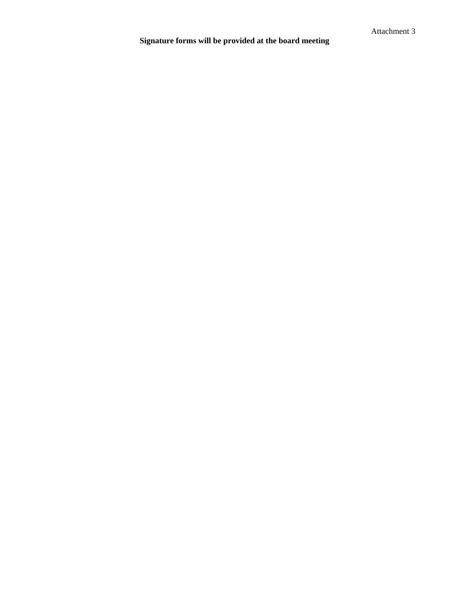# **Signature forms will be provided at the board meeting**